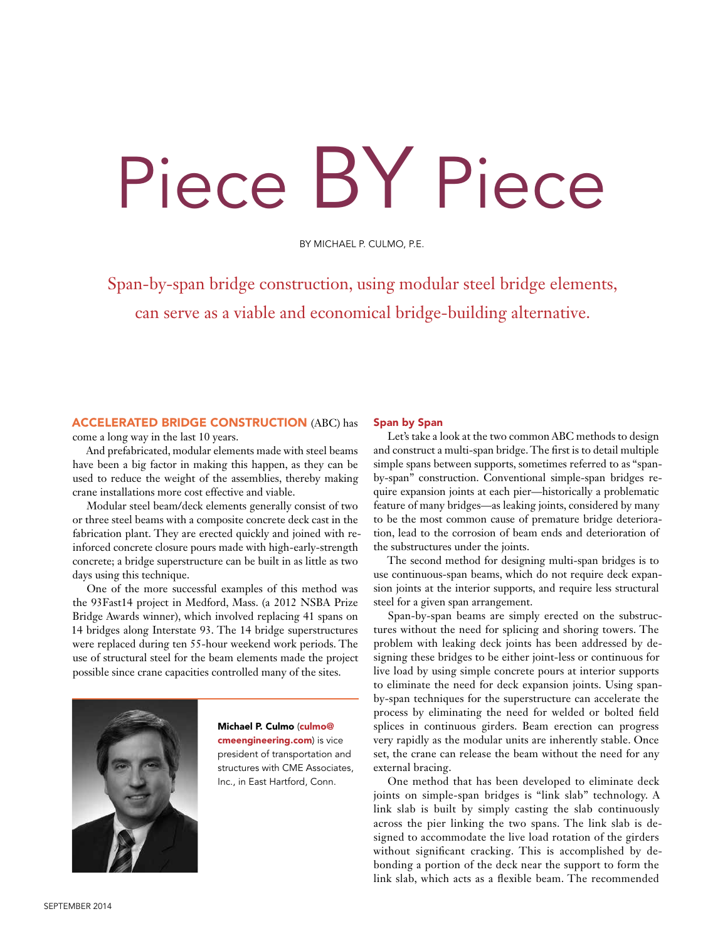## Piece BY Piece

BY MICHAEL P. CULMO, P.E.

Span-by-span bridge construction, using modular steel bridge elements, can serve as a viable and economical bridge-building alternative.

## ACCELERATED BRIDGE CONSTRUCTION (ABC) has come a long way in the last 10 years.

And prefabricated, modular elements made with steel beams have been a big factor in making this happen, as they can be used to reduce the weight of the assemblies, thereby making crane installations more cost effective and viable.

Modular steel beam/deck elements generally consist of two or three steel beams with a composite concrete deck cast in the fabrication plant. They are erected quickly and joined with reinforced concrete closure pours made with high-early-strength concrete; a bridge superstructure can be built in as little as two days using this technique.

One of the more successful examples of this method was the 93Fast14 project in Medford, Mass. (a 2012 NSBA Prize Bridge Awards winner), which involved replacing 41 spans on 14 bridges along Interstate 93. The 14 bridge superstructures were replaced during ten 55-hour weekend work periods. The use of structural steel for the beam elements made the project possible since crane capacities controlled many of the sites.



Michael P. Culmo (culmo@ cmeengineering.com) is vice president of transportation and structures with CME Associates, Inc., in East Hartford, Conn.

## Span by Span

Let's take a look at the two common ABC methods to design and construct a multi-span bridge. The first is to detail multiple simple spans between supports, sometimes referred to as "spanby-span" construction. Conventional simple-span bridges require expansion joints at each pier—historically a problematic feature of many bridges—as leaking joints, considered by many to be the most common cause of premature bridge deterioration, lead to the corrosion of beam ends and deterioration of the substructures under the joints.

The second method for designing multi-span bridges is to use continuous-span beams, which do not require deck expansion joints at the interior supports, and require less structural steel for a given span arrangement.

Span-by-span beams are simply erected on the substructures without the need for splicing and shoring towers. The problem with leaking deck joints has been addressed by designing these bridges to be either joint-less or continuous for live load by using simple concrete pours at interior supports to eliminate the need for deck expansion joints. Using spanby-span techniques for the superstructure can accelerate the process by eliminating the need for welded or bolted field splices in continuous girders. Beam erection can progress very rapidly as the modular units are inherently stable. Once set, the crane can release the beam without the need for any external bracing.

One method that has been developed to eliminate deck joints on simple-span bridges is "link slab" technology. A link slab is built by simply casting the slab continuously across the pier linking the two spans. The link slab is designed to accommodate the live load rotation of the girders without significant cracking. This is accomplished by debonding a portion of the deck near the support to form the link slab, which acts as a flexible beam. The recommended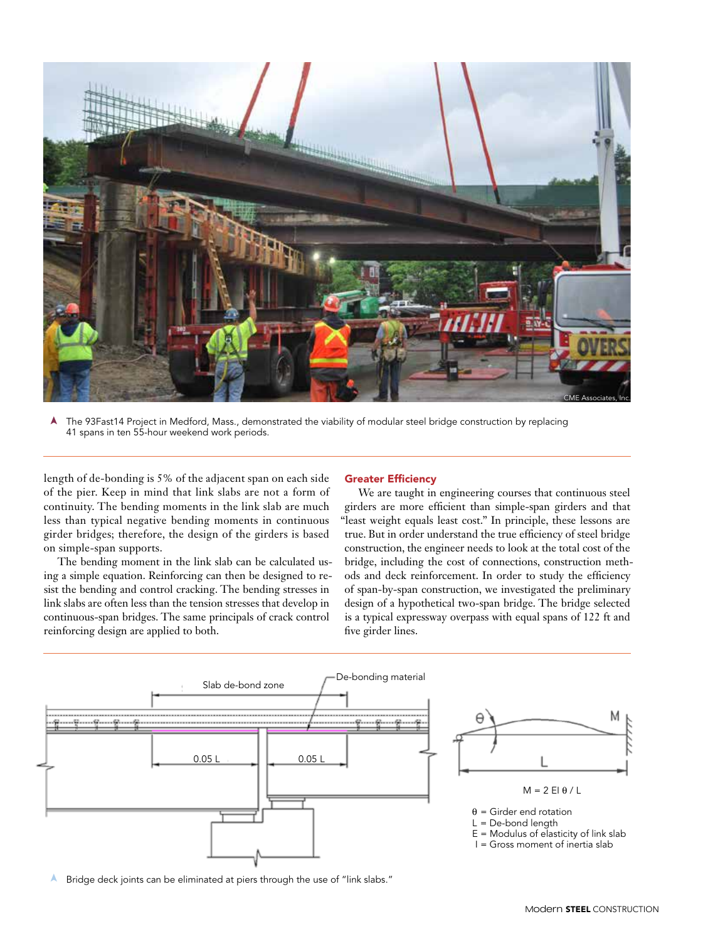

➤The 93Fast14 Project in Medford, Mass., demonstrated the viability of modular steel bridge construction by replacing 41 spans in ten 55-hour weekend work periods.

length of de-bonding is 5% of the adjacent span on each side of the pier. Keep in mind that link slabs are not a form of continuity. The bending moments in the link slab are much less than typical negative bending moments in continuous girder bridges; therefore, the design of the girders is based on simple-span supports.

The bending moment in the link slab can be calculated using a simple equation. Reinforcing can then be designed to resist the bending and control cracking. The bending stresses in link slabs are often less than the tension stresses that develop in continuous-span bridges. The same principals of crack control reinforcing design are applied to both.

## Greater Efficiency

We are taught in engineering courses that continuous steel girders are more efficient than simple-span girders and that "least weight equals least cost." In principle, these lessons are true. But in order understand the true efficiency of steel bridge construction, the engineer needs to look at the total cost of the bridge, including the cost of connections, construction methods and deck reinforcement. In order to study the efficiency of span-by-span construction, we investigated the preliminary design of a hypothetical two-span bridge. The bridge selected is a typical expressway overpass with equal spans of 122 ft and five girder lines.



➤Bridge deck joints can be eliminated at piers through the use of "link slabs."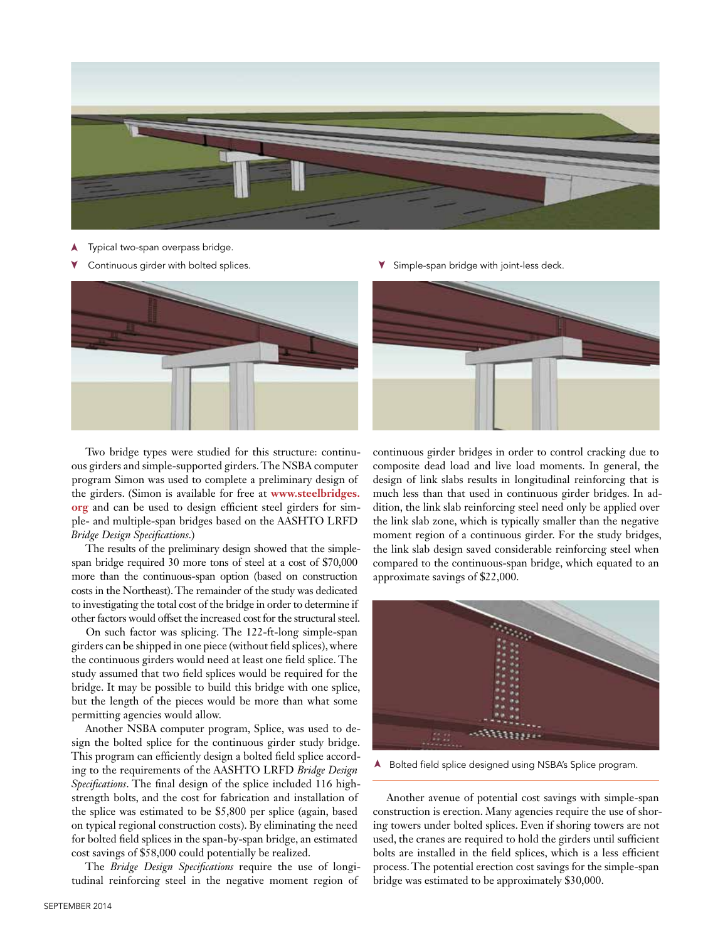

- ➤Typical two-span overpass bridge.
- ➤



Two bridge types were studied for this structure: continuous girders and simple-supported girders. The NSBA computer program Simon was used to complete a preliminary design of the girders. (Simon is available for free at **www.steelbridges. org** and can be used to design efficient steel girders for simple- and multiple-span bridges based on the AASHTO LRFD *Bridge Design Specifications*.)

The results of the preliminary design showed that the simplespan bridge required 30 more tons of steel at a cost of \$70,000 more than the continuous-span option (based on construction costs in the Northeast). The remainder of the study was dedicated to investigating the total cost of the bridge in order to determine if other factors would offset the increased cost for the structural steel.

On such factor was splicing. The 122-ft-long simple-span girders can be shipped in one piece (without field splices), where the continuous girders would need at least one field splice. The study assumed that two field splices would be required for the bridge. It may be possible to build this bridge with one splice, but the length of the pieces would be more than what some permitting agencies would allow.

Another NSBA computer program, Splice, was used to design the bolted splice for the continuous girder study bridge. This program can efficiently design a bolted field splice according to the requirements of the AASHTO LRFD *Bridge Design Specifications*. The final design of the splice included 116 highstrength bolts, and the cost for fabrication and installation of the splice was estimated to be \$5,800 per splice (again, based on typical regional construction costs). By eliminating the need for bolted field splices in the span-by-span bridge, an estimated cost savings of \$58,000 could potentially be realized.

The *Bridge Design Specifications* require the use of longitudinal reinforcing steel in the negative moment region of

Continuous girder with bolted splices. Simple-span bridge with joint-less deck. ➤



continuous girder bridges in order to control cracking due to composite dead load and live load moments. In general, the design of link slabs results in longitudinal reinforcing that is much less than that used in continuous girder bridges. In addition, the link slab reinforcing steel need only be applied over the link slab zone, which is typically smaller than the negative moment region of a continuous girder. For the study bridges, the link slab design saved considerable reinforcing steel when compared to the continuous-span bridge, which equated to an approximate savings of \$22,000.



➤Bolted field splice designed using NSBA's Splice program.

Another avenue of potential cost savings with simple-span construction is erection. Many agencies require the use of shoring towers under bolted splices. Even if shoring towers are not used, the cranes are required to hold the girders until sufficient bolts are installed in the field splices, which is a less efficient process. The potential erection cost savings for the simple-span bridge was estimated to be approximately \$30,000.